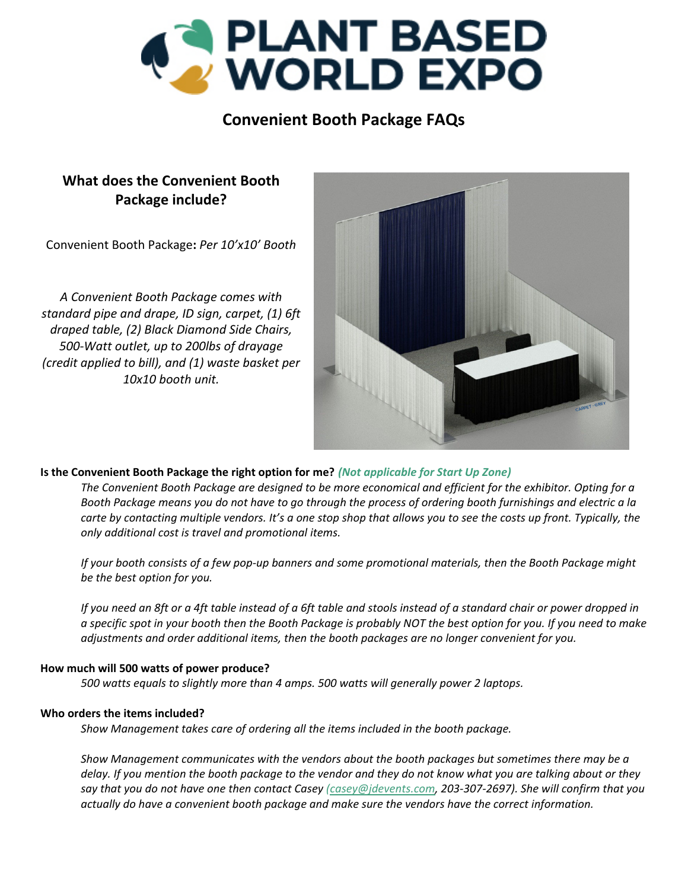

# **Convenient Booth Package FAQs**

# **What does the Convenient Booth Package include?**

Convenient Booth Package**:** *Per 10'x10' Booth*

*A Convenient Booth Package comes with standard pipe and drape, ID sign, carpet, (1) 6ft draped table, (2) Black Diamond Side Chairs, 500‐Watt outlet, up to 200lbs of drayage (credit applied to bill), and (1) waste basket per 10x10 booth unit.*



## **Is the Convenient Booth Package the right option for me?** *(Not applicable for Start Up Zone)*

The Convenient Booth Package are designed to be more economical and efficient for the exhibitor. Opting for a Booth Package means you do not have to go through the process of ordering booth furnishings and electric a la carte by contacting multiple vendors. It's a one stop shop that allows you to see the costs up front. Typically, the *only additional cost is travel and promotional items.* 

If your booth consists of a few pop-up banners and some promotional materials, then the Booth Package might *be the best option for you.* 

If you need an 8ft or a 4ft table instead of a 6ft table and stools instead of a standard chair or power dropped in a specific spot in your booth then the Booth Package is probably NOT the best option for you. If you need to make *adjustments and order additional items, then the booth packages are no longer convenient for you.* 

#### **How much will 500 watts of power produce?**

*500 watts equals to slightly more than 4 amps. 500 watts will generally power 2 laptops.* 

#### **Who orders the items included?**

*Show Management takes care of ordering all the items included in the booth package.* 

*Show Management communicates with the vendors about the booth packages but sometimes there may be a* delay. If you mention the booth package to the vendor and they do not know what you are talking about or they say that you do not have one then contact Casey (casey@jdevents.com, 203-307-2697). She will confirm that you *actually do have a convenient booth package and make sure the vendors have the correct information.*